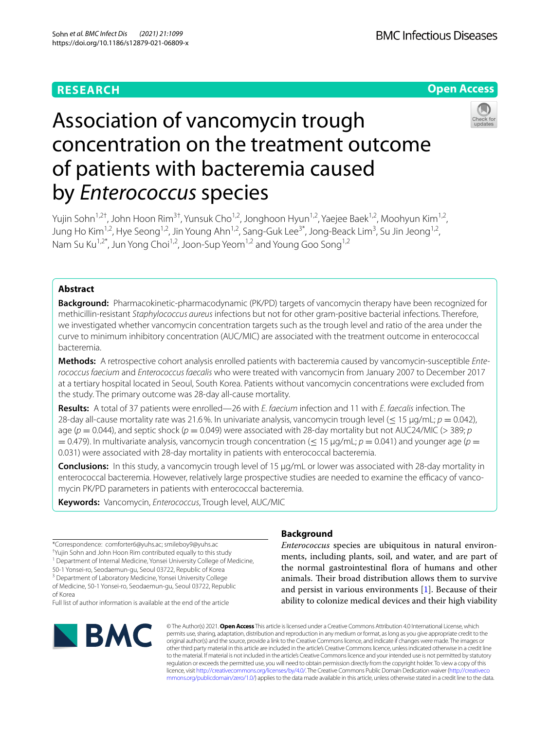# **RESEARCH**



# Association of vancomycin trough concentration on the treatment outcome of patients with bacteremia caused by *Enterococcus* species

Yujin Sohn<sup>1,2†</sup>, John Hoon Rim<sup>3†</sup>, Yunsuk Cho<sup>1,2</sup>, Jonghoon Hyun<sup>1,2</sup>, Yaejee Baek<sup>1,2</sup>, Moohyun Kim<sup>1,2</sup>, Jung Ho Kim<sup>1,2</sup>, Hye Seong<sup>1,2</sup>, Jin Young Ahn<sup>1,2</sup>, Sang-Guk Lee<sup>3\*</sup>, Jong-Beack Lim<sup>3</sup>, Su Jin Jeong<sup>1,2</sup>, Nam Su Ku<sup>1,2\*</sup>, Jun Yong Choi<sup>1,2</sup>, Joon-Sup Yeom<sup>1,2</sup> and Young Goo Song<sup>1,2</sup>

## **Abstract**

**Background:** Pharmacokinetic-pharmacodynamic (PK/PD) targets of vancomycin therapy have been recognized for methicillin-resistant *Staphylococcus aureus* infections but not for other gram-positive bacterial infections. Therefore, we investigated whether vancomycin concentration targets such as the trough level and ratio of the area under the curve to minimum inhibitory concentration (AUC/MIC) are associated with the treatment outcome in enterococcal bacteremia.

**Methods:** A retrospective cohort analysis enrolled patients with bacteremia caused by vancomycin-susceptible *Enterococcus faecium* and *Enterococcus faecalis* who were treated with vancomycin from January 2007 to December 2017 at a tertiary hospital located in Seoul, South Korea. Patients without vancomycin concentrations were excluded from the study. The primary outcome was 28-day all-cause mortality.

**Results:** A total of 37 patients were enrolled—26 with *E*. *faecium* infection and 11 with *E*. *faecalis* infection. The 28-day all-cause mortality rate was 21.6%. In univariate analysis, vancomycin trough level (≤ 15 µg/mL; *p* = 0.042), age ( $p = 0.044$ ), and septic shock ( $p = 0.049$ ) were associated with 28-day mortality but not AUC24/MIC ( $>$  389;  $p$  $= 0.479$ ). In multivariate analysis, vancomycin trough concentration ( $\leq 15 \mu$ g/mL;  $p = 0.041$ ) and younger age ( $p = 0.047$ ) 0.031) were associated with 28-day mortality in patients with enterococcal bacteremia.

**Conclusions:** In this study, a vancomycin trough level of 15 µg/mL or lower was associated with 28-day mortality in enterococcal bacteremia. However, relatively large prospective studies are needed to examine the efficacy of vancomycin PK/PD parameters in patients with enterococcal bacteremia.

**Keywords:** Vancomycin, *Enterococcus*, Trough level, AUC/MIC

† Yujin Sohn and John Hoon Rim contributed equally to this study <sup>1</sup> Department of Internal Medicine, Yonsei University College of Medicine,

50‑1 Yonsei‑ro, Seodaemun‑gu, Seoul 03722, Republic of Korea

<sup>3</sup> Department of Laboratory Medicine, Yonsei University College

of Medicine, 50‑1 Yonsei‑ro, Seodaemun‑gu, Seoul 03722, Republic of Korea

Full list of author information is available at the end of the article



# **Background**

*Enterococcus* species are ubiquitous in natural environments, including plants, soil, and water, and are part of the normal gastrointestinal flora of humans and other animals. Their broad distribution allows them to survive and persist in various environments [[1\]](#page-6-0). Because of their ability to colonize medical devices and their high viability

© The Author(s) 2021. **Open Access** This article is licensed under a Creative Commons Attribution 4.0 International License, which permits use, sharing, adaptation, distribution and reproduction in any medium or format, as long as you give appropriate credit to the original author(s) and the source, provide a link to the Creative Commons licence, and indicate if changes were made. The images or other third party material in this article are included in the article's Creative Commons licence, unless indicated otherwise in a credit line to the material. If material is not included in the article's Creative Commons licence and your intended use is not permitted by statutory regulation or exceeds the permitted use, you will need to obtain permission directly from the copyright holder. To view a copy of this licence, visit [http://creativecommons.org/licenses/by/4.0/.](http://creativecommons.org/licenses/by/4.0/) The Creative Commons Public Domain Dedication waiver ([http://creativeco](http://creativecommons.org/publicdomain/zero/1.0/) [mmons.org/publicdomain/zero/1.0/](http://creativecommons.org/publicdomain/zero/1.0/)) applies to the data made available in this article, unless otherwise stated in a credit line to the data.

<sup>\*</sup>Correspondence: comforter6@yuhs.ac; smileboy9@yuhs.ac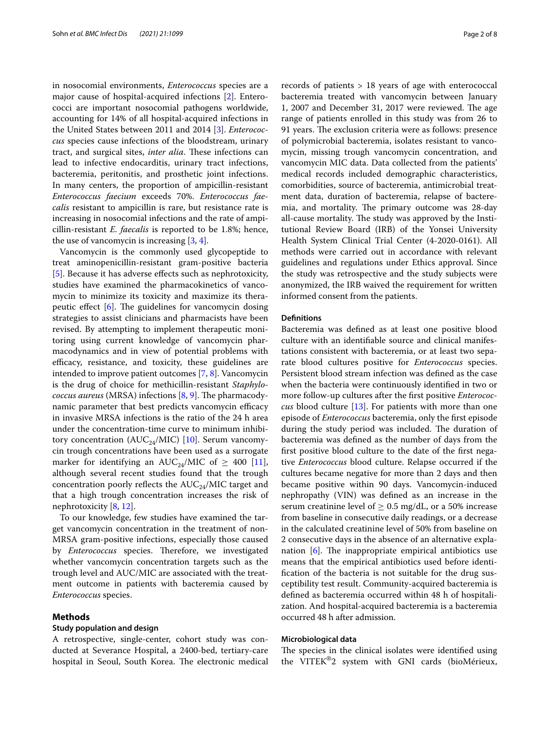in nosocomial environments, *Enterococcus* species are a major cause of hospital-acquired infections [\[2](#page-6-1)]. Enterococci are important nosocomial pathogens worldwide, accounting for 14% of all hospital-acquired infections in the United States between 2011 and 2014 [\[3](#page-6-2)]. *Enterococcus* species cause infections of the bloodstream, urinary tract, and surgical sites, *inter alia*. These infections can lead to infective endocarditis, urinary tract infections, bacteremia, peritonitis, and prosthetic joint infections. In many centers, the proportion of ampicillin-resistant *Enterococcus faecium* exceeds 70%. *Enterococcus faecalis* resistant to ampicillin is rare, but resistance rate is increasing in nosocomial infections and the rate of ampicillin-resistant *E. faecalis* is reported to be 1.8%; hence, the use of vancomycin is increasing [\[3](#page-6-2), [4\]](#page-6-3).

Vancomycin is the commonly used glycopeptide to treat aminopenicillin-resistant gram-positive bacteria [[5\]](#page-6-4). Because it has adverse efects such as nephrotoxicity, studies have examined the pharmacokinetics of vancomycin to minimize its toxicity and maximize its therapeutic effect  $[6]$  $[6]$ . The guidelines for vancomycin dosing strategies to assist clinicians and pharmacists have been revised. By attempting to implement therapeutic monitoring using current knowledge of vancomycin pharmacodynamics and in view of potential problems with efficacy, resistance, and toxicity, these guidelines are intended to improve patient outcomes [[7,](#page-6-6) [8](#page-6-7)]. Vancomycin is the drug of choice for methicillin-resistant *Staphylococcus aureus* (MRSA) infections [\[8](#page-6-7), [9\]](#page-6-8). The pharmacodynamic parameter that best predicts vancomycin efficacy in invasive MRSA infections is the ratio of the 24 h area under the concentration-time curve to minimum inhibitory concentration ( $AUC_{24}/MIC$ ) [\[10\]](#page-6-9). Serum vancomycin trough concentrations have been used as a surrogate marker for identifying an AUC<sub>24</sub>/MIC of  $\geq$  400 [\[11](#page-6-10)], although several recent studies found that the trough concentration poorly reflects the  $AUC_{24}/MIC$  target and that a high trough concentration increases the risk of nephrotoxicity [\[8](#page-6-7), [12](#page-6-11)].

To our knowledge, few studies have examined the target vancomycin concentration in the treatment of non-MRSA gram-positive infections, especially those caused by *Enterococcus* species. Therefore, we investigated whether vancomycin concentration targets such as the trough level and AUC/MIC are associated with the treatment outcome in patients with bacteremia caused by *Enterococcus* species.

## **Methods**

## **Study population and design**

A retrospective, single-center, cohort study was conducted at Severance Hospital, a 2400-bed, tertiary-care hospital in Seoul, South Korea. The electronic medical records of patients > 18 years of age with enterococcal bacteremia treated with vancomycin between January 1, 2007 and December 31, 2017 were reviewed. The age range of patients enrolled in this study was from 26 to 91 years. The exclusion criteria were as follows: presence of polymicrobial bacteremia, isolates resistant to vancomycin, missing trough vancomycin concentration, and vancomycin MIC data. Data collected from the patients' medical records included demographic characteristics, comorbidities, source of bacteremia, antimicrobial treatment data, duration of bacteremia, relapse of bacteremia, and mortality. The primary outcome was 28-day all-cause mortality. The study was approved by the Institutional Review Board (IRB) of the Yonsei University Health System Clinical Trial Center (4-2020-0161). All methods were carried out in accordance with relevant guidelines and regulations under Ethics approval. Since the study was retrospective and the study subjects were anonymized, the IRB waived the requirement for written informed consent from the patients.

## **Defnitions**

Bacteremia was defned as at least one positive blood culture with an identifable source and clinical manifestations consistent with bacteremia, or at least two separate blood cultures positive for *Enterococcus* species. Persistent blood stream infection was defned as the case when the bacteria were continuously identifed in two or more follow-up cultures after the frst positive *Enterococcus* blood culture [[13](#page-6-12)]. For patients with more than one episode of *Enterococcus* bacteremia, only the frst episode during the study period was included. The duration of bacteremia was defned as the number of days from the frst positive blood culture to the date of the frst negative *Enterococcus* blood culture. Relapse occurred if the cultures became negative for more than 2 days and then became positive within 90 days. Vancomycin-induced nephropathy (VIN) was defned as an increase in the serum creatinine level of  $\geq$  0.5 mg/dL, or a 50% increase from baseline in consecutive daily readings, or a decrease in the calculated creatinine level of 50% from baseline on 2 consecutive days in the absence of an alternative explanation  $[6]$  $[6]$ . The inappropriate empirical antibiotics use means that the empirical antibiotics used before identifcation of the bacteria is not suitable for the drug susceptibility test result. Community-acquired bacteremia is defned as bacteremia occurred within 48 h of hospitalization. And hospital-acquired bacteremia is a bacteremia occurred 48 h after admission.

## **Microbiological data**

The species in the clinical isolates were identified using the VITEK®2 system with GNI cards (bioMérieux,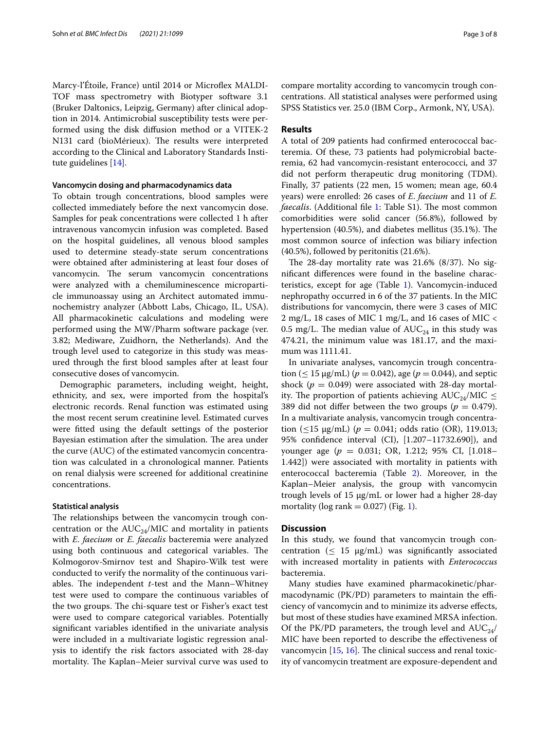Marcy-l'Étoile, France) until 2014 or Microfex MALDI-TOF mass spectrometry with Biotyper software 3.1 (Bruker Daltonics, Leipzig, Germany) after clinical adoption in 2014. Antimicrobial susceptibility tests were performed using the disk difusion method or a VITEK-2 N131 card (bioMérieux). The results were interpreted according to the Clinical and Laboratory Standards Institute guidelines [\[14\]](#page-6-13).

## **Vancomycin dosing and pharmacodynamics data**

To obtain trough concentrations, blood samples were collected immediately before the next vancomycin dose. Samples for peak concentrations were collected 1 h after intravenous vancomycin infusion was completed. Based on the hospital guidelines, all venous blood samples used to determine steady-state serum concentrations were obtained after administering at least four doses of vancomycin. The serum vancomycin concentrations were analyzed with a chemiluminescence microparticle immunoassay using an Architect automated immunochemistry analyzer (Abbott Labs, Chicago, IL, USA). All pharmacokinetic calculations and modeling were performed using the MW/Pharm software package (ver. 3.82; Mediware, Zuidhorn, the Netherlands). And the trough level used to categorize in this study was measured through the frst blood samples after at least four consecutive doses of vancomycin.

Demographic parameters, including weight, height, ethnicity, and sex, were imported from the hospital's electronic records. Renal function was estimated using the most recent serum creatinine level. Estimated curves were ftted using the default settings of the posterior Bayesian estimation after the simulation. The area under the curve (AUC) of the estimated vancomycin concentration was calculated in a chronological manner. Patients on renal dialysis were screened for additional creatinine concentrations.

## **Statistical analysis**

The relationships between the vancomycin trough concentration or the  $AUC_{24}/MIC$  and mortality in patients with *E*. *faecium* or *E. faecalis* bacteremia were analyzed using both continuous and categorical variables. The Kolmogorov-Smirnov test and Shapiro-Wilk test were conducted to verify the normality of the continuous variables. The independent  $t$ -test and the Mann–Whitney test were used to compare the continuous variables of the two groups. The chi-square test or Fisher's exact test were used to compare categorical variables. Potentially signifcant variables identifed in the univariate analysis were included in a multivariate logistic regression analysis to identify the risk factors associated with 28-day mortality. The Kaplan–Meier survival curve was used to compare mortality according to vancomycin trough concentrations. All statistical analyses were performed using SPSS Statistics ver. 25.0 (IBM Corp., Armonk, NY, USA).

## **Results**

A total of 209 patients had confrmed enterococcal bacteremia. Of these, 73 patients had polymicrobial bacteremia, 62 had vancomycin-resistant enterococci, and 37 did not perform therapeutic drug monitoring (TDM). Finally, 37 patients (22 men, 15 women; mean age, 60.4 years) were enrolled: 26 cases of *E*. *faecium* and 11 of *E. faecalis*. (Additional file [1:](#page-6-14) Table S1). The most common comorbidities were solid cancer (56.8%), followed by hypertension  $(40.5\%)$ , and diabetes mellitus  $(35.1\%)$ . The most common source of infection was biliary infection (40.5%), followed by peritonitis (21.6%).

The 28-day mortality rate was  $21.6\%$  (8/37). No signifcant diferences were found in the baseline characteristics, except for age (Table [1\)](#page-3-0). Vancomycin-induced nephropathy occurred in 6 of the 37 patients. In the MIC distributions for vancomycin, there were 3 cases of MIC 2 mg/L, 18 cases of MIC 1 mg/L, and 16 cases of MIC < 0.5 mg/L. The median value of  $AUC_{24}$  in this study was 474.21, the minimum value was 181.17, and the maximum was 1111.41.

In univariate analyses, vancomycin trough concentration ( $\leq 15 \,\mu$ g/mL) ( $p = 0.042$ ), age ( $p = 0.044$ ), and septic shock  $(p = 0.049)$  were associated with 28-day mortality. The proportion of patients achieving  $AUC_{24}/MIC \leq$ 389 did not differ between the two groups ( $p = 0.479$ ). In a multivariate analysis, vancomycin trough concentration ( $\leq$ 15 µg/mL) ( $p = 0.041$ ; odds ratio (OR), 119.013; 95% confdence interval (CI), [1.207–11732.690]), and younger age (*p* = 0.031; OR, 1.212; 95% CI, [1.018– 1.442]) were associated with mortality in patients with enterococcal bacteremia (Table [2](#page-4-0)). Moreover, in the Kaplan–Meier analysis, the group with vancomycin trough levels of 15 µg/mL or lower had a higher 28-day mortality (log rank  $= 0.027$ ) (Fig. [1](#page-4-1)).

## **Discussion**

In this study, we found that vancomycin trough concentration ( $\leq 15 \text{ µg/mL}$ ) was significantly associated with increased mortality in patients with *Enterococcus* bacteremia.

Many studies have examined pharmacokinetic/pharmacodynamic (PK/PD) parameters to maintain the efficiency of vancomycin and to minimize its adverse efects, but most of these studies have examined MRSA infection. Of the PK/PD parameters, the trough level and  $AUC_{24}$ / MIC have been reported to describe the efectiveness of vancomycin  $[15, 16]$  $[15, 16]$  $[15, 16]$  $[15, 16]$ . The clinical success and renal toxicity of vancomycin treatment are exposure-dependent and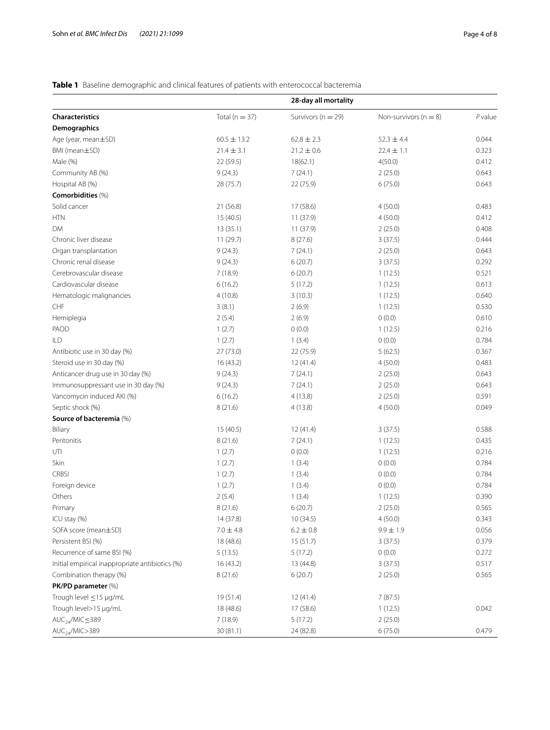# <span id="page-3-0"></span>**Table 1** Baseline demographic and clinical features of patients with enterococcal bacteremia

|                                                 |                    | 28-day all mortality   |                           |        |
|-------------------------------------------------|--------------------|------------------------|---------------------------|--------|
| <b>Characteristics</b>                          | Total ( $n = 37$ ) | Survivors ( $n = 29$ ) | Non-survivors ( $n = 8$ ) | Pvalue |
| Demographics                                    |                    |                        |                           |        |
| Age (year, mean±SD)                             | $60.5 \pm 13.2$    | $62.8 \pm 2.3$         | $52.3 \pm 4.4$            | 0.044  |
| BMI (mean±SD)                                   | $21.4 \pm 3.1$     | $21.2 \pm 0.6$         | $22.4 \pm 1.1$            | 0.323  |
| Male (%)                                        | 22 (59.5)          | 18(62.1)               | 4(50.0)                   | 0.412  |
| Community AB (%)                                | 9(24.3)            | 7(24.1)                | 2(25.0)                   | 0.643  |
| Hospital AB (%)                                 | 28 (75.7)          | 22 (75.9)              | 6(75.0)                   | 0.643  |
| Comorbidities (%)                               |                    |                        |                           |        |
| Solid cancer                                    | 21 (56.8)          | 17 (58.6)              | 4(50.0)                   | 0.483  |
| <b>HTN</b>                                      | 15(40.5)           | 11(37.9)               | 4(50.0)                   | 0.412  |
| <b>DM</b>                                       | 13(35.1)           | 11 (37.9)              | 2(25.0)                   | 0.408  |
| Chronic liver disease                           | 11 (29.7)          | 8(27.6)                | 3(37.5)                   | 0.444  |
| Organ transplantation                           | 9(24.3)            | 7(24.1)                | 2(25.0)                   | 0.643  |
| Chronic renal disease                           | 9(24.3)            | 6(20.7)                | 3(37.5)                   | 0.292  |
| Cerebrovascular disease                         | 7(18.9)            | 6(20.7)                | 1(12.5)                   | 0.521  |
| Cardiovascular disease                          | 6(16.2)            | 5(17.2)                | 1(12.5)                   | 0.613  |
| Hematologic malignancies                        | 4(10.8)            | 3(10.3)                | 1(12.5)                   | 0.640  |
| ${\sf CHF}$                                     | 3(8.1)             | 2(6.9)                 | 1(12.5)                   | 0.530  |
| Hemiplegia                                      | 2(5.4)             | 2(6.9)                 | 0(0.0)                    | 0.610  |
| PAOD                                            | 1(2.7)             | 0(0.0)                 | 1(12.5)                   | 0.216  |
| ILD                                             | 1(2.7)             | 1(3.4)                 | 0(0.0)                    | 0.784  |
| Antibiotic use in 30 day (%)                    | 27 (73.0)          | 22 (75.9)              | 5(62.5)                   | 0.367  |
| Steroid use in 30 day (%)                       | 16(43.2)           | 12(41.4)               | 4(50.0)                   | 0.483  |
| Anticancer drug use in 30 day (%)               | 9(24.3)            | 7(24.1)                | 2(25.0)                   | 0.643  |
| Immunosuppressant use in 30 day (%)             | 9(24.3)            | 7(24.1)                | 2(25.0)                   | 0.643  |
| Vancomycin induced AKI (%)                      | 6(16.2)            | 4(13.8)                | 2(25.0)                   | 0.591  |
| Septic shock (%)                                | 8(21.6)            | 4(13.8)                | 4(50.0)                   | 0.049  |
| Source of bacteremia (%)                        |                    |                        |                           |        |
| Biliary                                         | 15(40.5)           | 12 (41.4)              | 3(37.5)                   | 0.588  |
| Peritonitis                                     | 8(21.6)            | 7(24.1)                | 1(12.5)                   | 0.435  |
| UTI                                             | 1(2.7)             | 0(0.0)                 | 1(12.5)                   | 0.216  |
| Skin                                            | 1(2.7)             | 1(3.4)                 | 0(0.0)                    | 0.784  |
| <b>CRBSI</b>                                    | 1(2.7)             | 1(3.4)                 | 0(0.0)                    | 0.784  |
| Foreign device                                  | 1(2.7)             | 1(3.4)                 | 0(0.0)                    | 0.784  |
| Others                                          | 2(5.4)             | 1(3.4)                 | 1(12.5)                   | 0.390  |
| Primary                                         | 8(21.6)            | 6(20.7)                | 2(25.0)                   | 0.565  |
| ICU stay (%)                                    | 14 (37.8)          | 10(34.5)               | 4(50.0)                   | 0.343  |
| SOFA score (mean±SD)                            | $7.0 \pm 4.8$      | $6.2 \pm 0.8$          | $9.9 \pm 1.9$             | 0.056  |
| Persistent BSI (%)                              | 18 (48.6)          | 15(51.7)               | 3(37.5)                   | 0.379  |
| Recurrence of same BSI (%)                      | 5(13.5)            | 5(17.2)                | 0(0.0)                    | 0.272  |
| Initial empirical inappropriate antibiotics (%) | 16(43.2)           | 13 (44.8)              | 3(37.5)                   | 0.517  |
| Combination therapy (%)                         | 8(21.6)            | 6(20.7)                | 2(25.0)                   | 0.565  |
| PK/PD parameter (%)                             |                    |                        |                           |        |
| Trough level $\leq$ 15 µg/mL                    | 19 (51.4)          | 12 (41.4)              | 7(87.5)                   |        |
| Trough level>15 µg/mL                           | 18 (48.6)          | 17 (58.6)              | 1(12.5)                   | 0.042  |
| $AUC_{24}/MIC \leq 389$                         | 7(18.9)            | 5(17.2)                | 2(25.0)                   |        |
| AUC <sub>24</sub> /MIC>389                      | 30(81.1)           | 24 (82.8)              | 6(75.0)                   | 0.479  |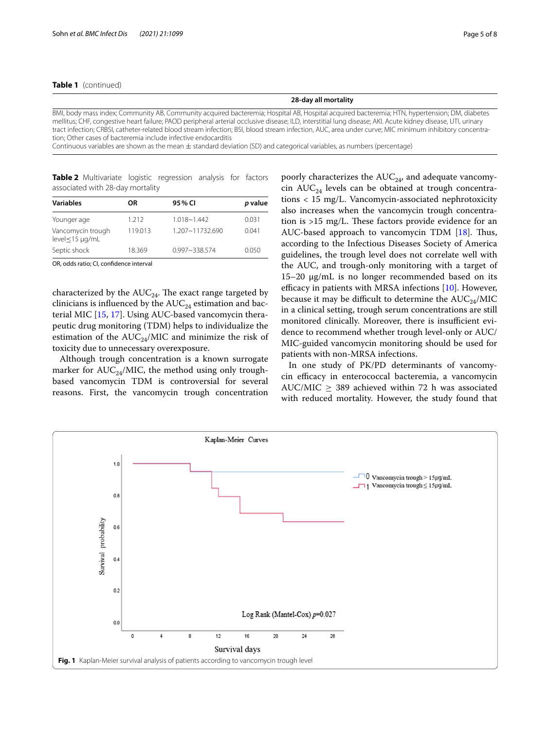## **Table 1** (continued)

#### **28-day all mortality**

BMI, body mass index; Community AB, Community acquired bacteremia; Hospital AB, Hospital acquired bacteremia; HTN, hypertension; DM, diabetes mellitus; CHF, congestive heart failure; PAOD peripheral arterial occlusive disease; ILD, interstitial lung disease; AKI. Acute kidney disease, UTI, urinary tract infection; CRBSI, catheter-related blood stream infection; BSI, blood stream infection, AUC, area under curve; MIC minimum inhibitory concentra‑ tion; Other cases of bacteremia include infective endocarditis

Continuous variables are shown as the mean  $\pm$  standard deviation (SD) and categorical variables, as numbers (percentage)

<span id="page-4-0"></span>**Table 2** Multivariate logistic regression analysis for factors associated with 28-day mortality

| <b>Variables</b>                              | ΟR      | 95 % CI           | p value |  |
|-----------------------------------------------|---------|-------------------|---------|--|
|                                               |         |                   |         |  |
| Younger age                                   | 1.212   | $1.018 - 1.442$   | 0.031   |  |
| Vancomycin trough<br>$level \leq 15 \mu q/mL$ | 119.013 | 1.207~11732.690   | 0.041   |  |
| Septic shock                                  | 18.369  | $0.997 - 338.574$ | 0.050   |  |

OR, odds ratio; CI, confdence interval

characterized by the  $AUC_{24}$ . The exact range targeted by clinicians is influenced by the  $AUC_{24}$  estimation and bacterial MIC [\[15](#page-6-15), [17\]](#page-6-17). Using AUC-based vancomycin therapeutic drug monitoring (TDM) helps to individualize the estimation of the  $AUC_{24}/MIC$  and minimize the risk of toxicity due to unnecessary overexposure.

Although trough concentration is a known surrogate marker for  $AUC_{24}/MIC$ , the method using only troughbased vancomycin TDM is controversial for several reasons. First, the vancomycin trough concentration

poorly characterizes the  $AUC_{24}$ , and adequate vancomycin  $AUC_{24}$  levels can be obtained at trough concentrations < 15 mg/L. Vancomycin-associated nephrotoxicity also increases when the vancomycin trough concentration is  $>15$  mg/L. These factors provide evidence for an AUC-based approach to vancomycin TDM  $[18]$  $[18]$ . Thus, according to the Infectious Diseases Society of America guidelines, the trough level does not correlate well with the AUC, and trough-only monitoring with a target of  $15-20 \mu g/mL$  is no longer recommended based on its efficacy in patients with MRSA infections  $[10]$ . However, because it may be difficult to determine the  $AUC_{24}/MIC$ in a clinical setting, trough serum concentrations are still monitored clinically. Moreover, there is insufficient evidence to recommend whether trough level-only or AUC/ MIC-guided vancomycin monitoring should be used for patients with non-MRSA infections.

In one study of PK/PD determinants of vancomycin efficacy in enterococcal bacteremia, a vancomycin AUC/MIC  $\geq$  389 achieved within 72 h was associated with reduced mortality. However, the study found that

<span id="page-4-1"></span>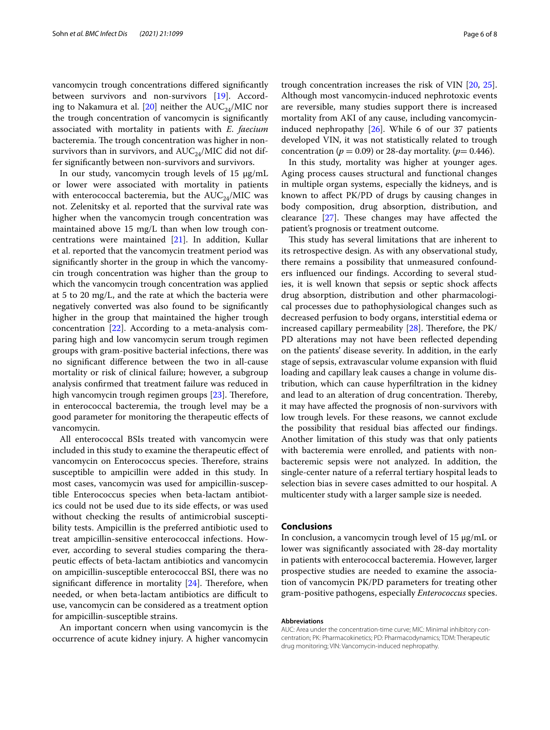vancomycin trough concentrations difered signifcantly between survivors and non-survivors [[19](#page-6-19)]. Accord-ing to Nakamura et al. [\[20](#page-6-20)] neither the  $AUC_{24}/MIC$  nor the trough concentration of vancomycin is signifcantly associated with mortality in patients with *E*. *faecium* bacteremia. The trough concentration was higher in nonsurvivors than in survivors, and  $AUC_{24}/MIC$  did not differ signifcantly between non-survivors and survivors.

In our study, vancomycin trough levels of  $15 \mu g/mL$ or lower were associated with mortality in patients with enterococcal bacteremia, but the  $AUC_{24}/MIC$  was not. Zelenitsky et al. reported that the survival rate was higher when the vancomycin trough concentration was maintained above 15 mg/L than when low trough concentrations were maintained [\[21](#page-7-0)]. In addition, Kullar et al. reported that the vancomycin treatment period was signifcantly shorter in the group in which the vancomycin trough concentration was higher than the group to which the vancomycin trough concentration was applied at 5 to 20 mg/L, and the rate at which the bacteria were negatively converted was also found to be signifcantly higher in the group that maintained the higher trough concentration [\[22](#page-7-1)]. According to a meta-analysis comparing high and low vancomycin serum trough regimen groups with gram-positive bacterial infections, there was no signifcant diference between the two in all-cause mortality or risk of clinical failure; however, a subgroup analysis confrmed that treatment failure was reduced in high vancomycin trough regimen groups  $[23]$  $[23]$  $[23]$ . Therefore, in enterococcal bacteremia, the trough level may be a good parameter for monitoring the therapeutic efects of vancomycin.

All enterococcal BSIs treated with vancomycin were included in this study to examine the therapeutic efect of vancomycin on Enterococcus species. Therefore, strains susceptible to ampicillin were added in this study. In most cases, vancomycin was used for ampicillin-susceptible Enterococcus species when beta-lactam antibiotics could not be used due to its side efects, or was used without checking the results of antimicrobial susceptibility tests. Ampicillin is the preferred antibiotic used to treat ampicillin-sensitive enterococcal infections. However, according to several studies comparing the therapeutic efects of beta-lactam antibiotics and vancomycin on ampicillin-susceptible enterococcal BSI, there was no significant difference in mortality  $[24]$  $[24]$  $[24]$ . Therefore, when needed, or when beta-lactam antibiotics are difficult to use, vancomycin can be considered as a treatment option for ampicillin-susceptible strains.

An important concern when using vancomycin is the occurrence of acute kidney injury. A higher vancomycin trough concentration increases the risk of VIN [[20,](#page-6-20) [25](#page-7-4)]. Although most vancomycin-induced nephrotoxic events are reversible, many studies support there is increased mortality from AKI of any cause, including vancomycininduced nephropathy [[26\]](#page-7-5). While 6 of our 37 patients developed VIN, it was not statistically related to trough concentration ( $p = 0.09$ ) or 28-day mortality. ( $p = 0.446$ ).

In this study, mortality was higher at younger ages. Aging process causes structural and functional changes in multiple organ systems, especially the kidneys, and is known to afect PK/PD of drugs by causing changes in body composition, drug absorption, distribution, and clearance  $[27]$  $[27]$ . These changes may have affected the patient's prognosis or treatment outcome.

This study has several limitations that are inherent to its retrospective design. As with any observational study, there remains a possibility that unmeasured confounders infuenced our fndings. According to several studies, it is well known that sepsis or septic shock afects drug absorption, distribution and other pharmacological processes due to pathophysiological changes such as decreased perfusion to body organs, interstitial edema or increased capillary permeability  $[28]$ . Therefore, the PK/ PD alterations may not have been refected depending on the patients' disease severity. In addition, in the early stage of sepsis, extravascular volume expansion with fuid loading and capillary leak causes a change in volume distribution, which can cause hyperfltration in the kidney and lead to an alteration of drug concentration. Thereby, it may have afected the prognosis of non-survivors with low trough levels. For these reasons, we cannot exclude the possibility that residual bias afected our fndings. Another limitation of this study was that only patients with bacteremia were enrolled, and patients with nonbacteremic sepsis were not analyzed. In addition, the single-center nature of a referral tertiary hospital leads to selection bias in severe cases admitted to our hospital. A multicenter study with a larger sample size is needed.

## **Conclusions**

In conclusion, a vancomycin trough level of 15 µg/mL or lower was signifcantly associated with 28-day mortality in patients with enterococcal bacteremia. However, larger prospective studies are needed to examine the association of vancomycin PK/PD parameters for treating other gram-positive pathogens, especially *Enterococcus* species.

#### **Abbreviations**

AUC: Area under the concentration-time curve; MIC: Minimal inhibitory concentration; PK: Pharmacokinetics; PD: Pharmacodynamics; TDM: Therapeutic drug monitoring; VIN: Vancomycin-induced nephropathy.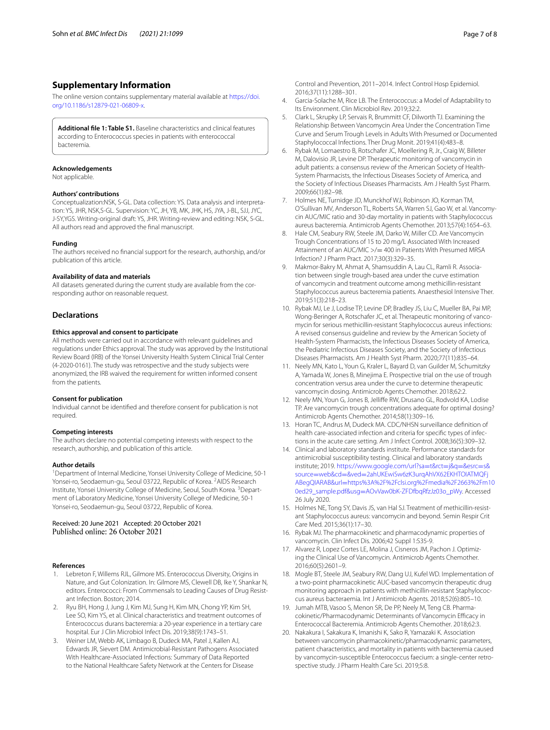## **Supplementary Information**

The online version contains supplementary material available at [https://doi.](https://doi.org/10.1186/s12879-021-06809-x) [org/10.1186/s12879-021-06809-x.](https://doi.org/10.1186/s12879-021-06809-x)

<span id="page-6-14"></span>**Additional fle 1: Table S1.** Baseline characteristics and clinical features according to Enterococcus species in patients with enterococcal bacteremia.

#### **Acknowledgements**

Not applicable.

#### **Authors' contributions**

Conceptualization:NSK, S-GL. Data collection: YS. Data analysis and interpreta‑ tion: YS, JHR, NSK,S-GL. Supervision: YC, JH, YB, MK, JHK, HS, JYA, J-BL, SJJ, JYC, J-SY,YGS. Writing-original draft: YS, JHR. Writing-review and editing: NSK, S-GL. All authors read and approved the fnal manuscript.

#### **Funding**

The authors received no fnancial support for the research, authorship, and/or publication of this article.

#### **Availability of data and materials**

All datasets generated during the current study are available from the corresponding author on reasonable request.

## **Declarations**

### **Ethics approval and consent to participate**

All methods were carried out in accordance with relevant guidelines and regulations under Ethics approval. The study was approved by the Institutional Review Board (IRB) of the Yonsei University Health System Clinical Trial Center (4-2020-0161). The study was retrospective and the study subjects were anonymized, the IRB waived the requirement for written informed consent from the patients.

#### **Consent for publication**

Individual cannot be identifed and therefore consent for publication is not required.

#### **Competing interests**

The authors declare no potential competing interests with respect to the research, authorship, and publication of this article.

#### **Author details**

<sup>1</sup> Department of Internal Medicine, Yonsei University College of Medicine, 50-1 Yonsei-ro, Seodaemun-gu, Seoul 03722, Republic of Korea. <sup>2</sup>AIDS Research Institute, Yonsei University College of Medicine, Seoul, South Korea. <sup>3</sup> Department of Laboratory Medicine, Yonsei University College of Medicine, 50‑1 Yonsei-ro, Seodaemun-gu, Seoul 03722, Republic of Korea.

## Received: 20 June 2021 Accepted: 20 October 2021 Published online: 26 October 2021

#### **References**

- <span id="page-6-0"></span>1. Lebreton F, Willems RJL, Gilmore MS. Enterococcus Diversity, Origins in Nature, and Gut Colonization. In: Gilmore MS, Clewell DB, Ike Y, Shankar N, editors. Enterococci: From Commensals to Leading Causes of Drug Resistant Infection. Boston; 2014.
- <span id="page-6-1"></span>2. Ryu BH, Hong J, Jung J, Kim MJ, Sung H, Kim MN, Chong YP, Kim SH, Lee SO, Kim YS, et al. Clinical characteristics and treatment outcomes of Enterococcus durans bacteremia: a 20-year experience in a tertiary care hospital. Eur J Clin Microbiol Infect Dis. 2019;38(9):1743–51.
- <span id="page-6-2"></span>3. Weiner LM, Webb AK, Limbago B, Dudeck MA, Patel J, Kallen AJ, Edwards JR, Sievert DM. Antimicrobial-Resistant Pathogens Associated With Healthcare-Associated Infections: Summary of Data Reported to the National Healthcare Safety Network at the Centers for Disease

Control and Prevention, 2011–2014. Infect Control Hosp Epidemiol. 2016;37(11):1288–301.

- <span id="page-6-3"></span>4. Garcia-Solache M, Rice LB. The Enterococcus: a Model of Adaptability to Its Environment. Clin Microbiol Rev. 2019;32:2.
- <span id="page-6-4"></span>5. Clark L, Skrupky LP, Servais R, Brummitt CF, Dilworth TJ. Examining the Relationship Between Vancomycin Area Under the Concentration Time Curve and Serum Trough Levels in Adults With Presumed or Documented Staphylococcal Infections. Ther Drug Monit. 2019;41(4):483–8.
- <span id="page-6-5"></span>6. Rybak M, Lomaestro B, Rotschafer JC, Moellering R, Jr., Craig W, Billeter M, Dalovisio JR, Levine DP. Therapeutic monitoring of vancomycin in adult patients: a consensus review of the American Society of Health-System Pharmacists, the Infectious Diseases Society of America, and the Society of Infectious Diseases Pharmacists. Am J Health Syst Pharm. 2009;66(1):82–98.
- <span id="page-6-6"></span>7. Holmes NE, Turnidge JD, Munckhof WJ, Robinson JO, Korman TM, O'Sullivan MV, Anderson TL, Roberts SA, Warren SJ, Gao W, et al. Vancomy‑ cin AUC/MIC ratio and 30-day mortality in patients with Staphylococcus aureus bacteremia. Antimicrob Agents Chemother. 2013;57(4):1654–63.
- <span id="page-6-7"></span>8. Hale CM, Seabury RW, Steele JM, Darko W, Miller CD. Are Vancomycin Trough Concentrations of 15 to 20 mg/L Associated With Increased Attainment of an AUC/MIC >/= 400 in Patients With Presumed MRSA Infection? J Pharm Pract. 2017;30(3):329–35.
- <span id="page-6-8"></span>Makmor-Bakry M, Ahmat A, Shamsuddin A, Lau CL, Ramli R. Association between single trough-based area under the curve estimation of vancomycin and treatment outcome among methicillin-resistant Staphylococcus aureus bacteremia patients. Anaesthesiol Intensive Ther. 2019;51(3):218–23.
- <span id="page-6-9"></span>10. Rybak MJ, Le J, Lodise TP, Levine DP, Bradley JS, Liu C, Mueller BA, Pai MP, Wong-Beringer A, Rotschafer JC, et al. Therapeutic monitoring of vanco‑ mycin for serious methicillin-resistant Staphylococcus aureus infections: A revised consensus guideline and review by the American Society of Health-System Pharmacists, the Infectious Diseases Society of America, the Pediatric Infectious Diseases Society, and the Society of Infectious Diseases Pharmacists. Am J Health Syst Pharm. 2020;77(11):835–64.
- <span id="page-6-10"></span>11. Neely MN, Kato L, Youn G, Kraler L, Bayard D, van Guilder M, Schumitzky A, Yamada W, Jones B, Minejima E. Prospective trial on the use of trough concentration versus area under the curve to determine therapeutic vancomycin dosing. Antimicrob Agents Chemother. 2018;62:2.
- <span id="page-6-11"></span>12. Neely MN, Youn G, Jones B, Jelliffe RW, Drusano GL, Rodvold KA, Lodise TP. Are vancomycin trough concentrations adequate for optimal dosing? Antimicrob Agents Chemother. 2014;58(1):309–16.
- <span id="page-6-12"></span>13. Horan TC, Andrus M, Dudeck MA. CDC/NHSN surveillance defnition of health care-associated infection and criteria for specific types of infections in the acute care setting. Am J Infect Control. 2008;36(5):309–32.
- <span id="page-6-13"></span>14. Clinical and laboratory standards institute. Performance standards for antimicrobial susceptibility testing. Clinical and laboratory standards institute; 2019. [https://www.google.com/url?sa](https://www.google.com/url?sa=t&rct=j&q=&esrc=s&source=web&cd=&ved=2ahUKEwiSw6zK3urqAhVX62EKHTOIATMQFjABegQIARAB&url=https%3A%2F%2Fclsi.org%2Fmedia%2F2663%2Fm100ed29_sample.pdf&usg=AOvVaw0bK-ZFDfbqRfzJz03o_pWy)=t&rct=j&q=&esrc=s& source=web&cd=&ved=[2ahUKEwiSw6zK3urqAhVX62EKHTOIATMQFj](https://www.google.com/url?sa=t&rct=j&q=&esrc=s&source=web&cd=&ved=2ahUKEwiSw6zK3urqAhVX62EKHTOIATMQFjABegQIARAB&url=https%3A%2F%2Fclsi.org%2Fmedia%2F2663%2Fm100ed29_sample.pdf&usg=AOvVaw0bK-ZFDfbqRfzJz03o_pWy) ABegQIARAB&url=[https%3A%2F%2Fclsi.org%2Fmedia%2F2663%2Fm10](https://www.google.com/url?sa=t&rct=j&q=&esrc=s&source=web&cd=&ved=2ahUKEwiSw6zK3urqAhVX62EKHTOIATMQFjABegQIARAB&url=https%3A%2F%2Fclsi.org%2Fmedia%2F2663%2Fm100ed29_sample.pdf&usg=AOvVaw0bK-ZFDfbqRfzJz03o_pWy) 0ed29\_sample.pdf&usg=[AOvVaw0bK-ZFDfbqRfzJz03o\\_pWy.](https://www.google.com/url?sa=t&rct=j&q=&esrc=s&source=web&cd=&ved=2ahUKEwiSw6zK3urqAhVX62EKHTOIATMQFjABegQIARAB&url=https%3A%2F%2Fclsi.org%2Fmedia%2F2663%2Fm100ed29_sample.pdf&usg=AOvVaw0bK-ZFDfbqRfzJz03o_pWy) Accessed 26 July 2020.
- <span id="page-6-15"></span>15. Holmes NE, Tong SY, Davis JS, van Hal SJ. Treatment of methicillin-resistant Staphylococcus aureus: vancomycin and beyond. Semin Respir Crit Care Med. 2015;36(1):17–30.
- <span id="page-6-16"></span>16. Rybak MJ. The pharmacokinetic and pharmacodynamic properties of vancomycin. Clin Infect Dis. 2006;42 Suppl 1:S35-9.
- <span id="page-6-17"></span>17. Alvarez R, Lopez Cortes LE, Molina J, Cisneros JM, Pachon J. Optimizing the Clinical Use of Vancomycin. Antimicrob Agents Chemother. 2016;60(5):2601–9.
- <span id="page-6-18"></span>18. Mogle BT, Steele JM, Seabury RW, Dang UJ, Kufel WD. Implementation of a two-point pharmacokinetic AUC-based vancomycin therapeutic drug monitoring approach in patients with methicillin-resistant Staphylococcus aureus bacteraemia. Int J Antimicrob Agents. 2018;52(6):805–10.
- <span id="page-6-19"></span>19. Jumah MTB, Vasoo S, Menon SR, De PP, Neely M, Teng CB. Pharmacokinetic/Pharmacodynamic Determinants of Vancomycin Efficacy in Enterococcal Bacteremia. Antimicrob Agents Chemother. 2018;62:3.
- <span id="page-6-20"></span>20. Nakakura I, Sakakura K, Imanishi K, Sako R, Yamazaki K. Association between vancomycin pharmacokinetic/pharmacodynamic parameters, patient characteristics, and mortality in patients with bacteremia caused by vancomycin-susceptible Enterococcus faecium: a single-center retrospective study. J Pharm Health Care Sci. 2019;5:8.